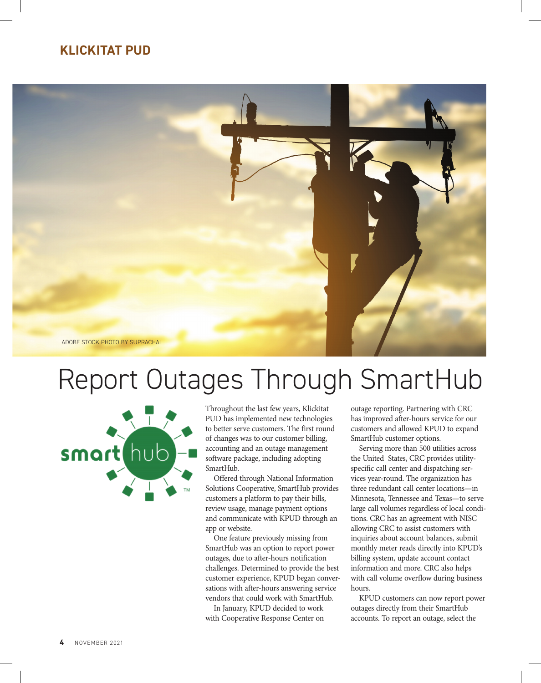## **KLICKITAT PUD**



## Report Outages Through SmartHub



Throughout the last few years, Klickitat PUD has implemented new technologies to better serve customers. The first round of changes was to our customer billing, accounting and an outage management software package, including adopting SmartHub.

Offered through National Information Solutions Cooperative, SmartHub provides customers a platform to pay their bills, review usage, manage payment options and communicate with KPUD through an app or website.

One feature previously missing from SmartHub was an option to report power outages, due to after-hours notification challenges. Determined to provide the best customer experience, KPUD began conversations with after-hours answering service vendors that could work with SmartHub.

In January, KPUD decided to work with Cooperative Response Center on

outage reporting. Partnering with CRC has improved after-hours service for our customers and allowed KPUD to expand SmartHub customer options.

Serving more than 500 utilities across the United States, CRC provides utilityspecific call center and dispatching services year-round. The organization has three redundant call center locations—in Minnesota, Tennessee and Texas—to serve large call volumes regardless of local conditions. CRC has an agreement with NISC allowing CRC to assist customers with inquiries about account balances, submit monthly meter reads directly into KPUD's billing system, update account contact information and more. CRC also helps with call volume overflow during business hours.

KPUD customers can now report power outages directly from their SmartHub accounts. To report an outage, select the